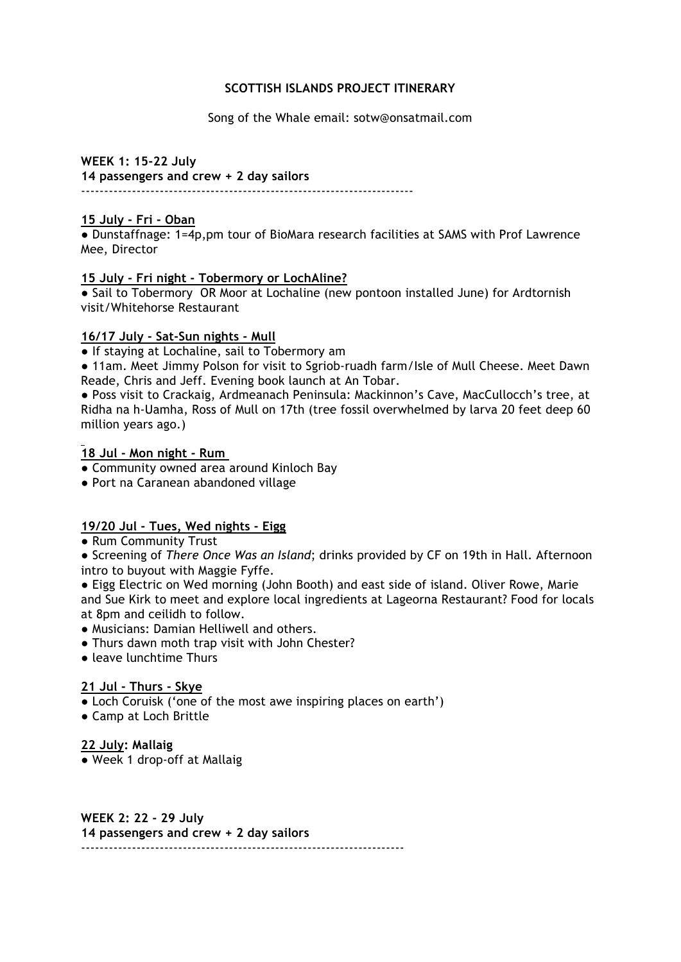#### **SCOTTISH ISLANDS PROJECT ITINERARY**

Song of the Whale email: sotw@onsatmail.com

**WEEK 1: 15-22 July 14 passengers and crew + 2 day sailors** ------------------------------------------------------------------------

#### **15 July - Fri - Oban**

● Dunstaffnage: 1=4p,pm tour of BioMara research facilities at SAMS with Prof Lawrence Mee, Director

#### **15 July - Fri night - Tobermory or LochAline?**

• Sail to Tobermory OR Moor at Lochaline (new pontoon installed June) for Ardtornish visit/Whitehorse Restaurant

#### **16/17 July - Sat-Sun nights - Mull**

● If staying at Lochaline, sail to Tobermory am

● 11am. Meet Jimmy Polson for visit to Sgriob-ruadh farm/Isle of Mull Cheese. Meet Dawn Reade, Chris and Jeff. Evening book launch at An Tobar.

● Poss visit to Crackaig, Ardmeanach Peninsula: Mackinnon's Cave, MacCullocch's tree, at Ridha na h-Uamha, Ross of Mull on 17th (tree fossil overwhelmed by larva 20 feet deep 60 million years ago.)

## **18 Jul - Mon night - Rum**

- Community owned area around Kinloch Bay
- Port na Caranean abandoned village

## **19/20 Jul - Tues, Wed nights - Eigg**

● Rum Community Trust

● Screening of *There Once Was an Island*; drinks provided by CF on 19th in Hall. Afternoon intro to buyout with Maggie Fyffe.

● Eigg Electric on Wed morning (John Booth) and east side of island. Oliver Rowe, Marie and Sue Kirk to meet and explore local ingredients at Lageorna Restaurant? Food for locals at 8pm and ceilidh to follow.

- Musicians: Damian Helliwell and others.
- Thurs dawn moth trap visit with John Chester?
- leave lunchtime Thurs

## **21 Jul - Thurs - Skye**

- Loch Coruisk ('one of the most awe inspiring places on earth')
- Camp at Loch Brittle

**22 July: Mallaig**

● Week 1 drop-off at Mallaig

**WEEK 2: 22 - 29 July 14 passengers and crew + 2 day sailors** ----------------------------------------------------------------------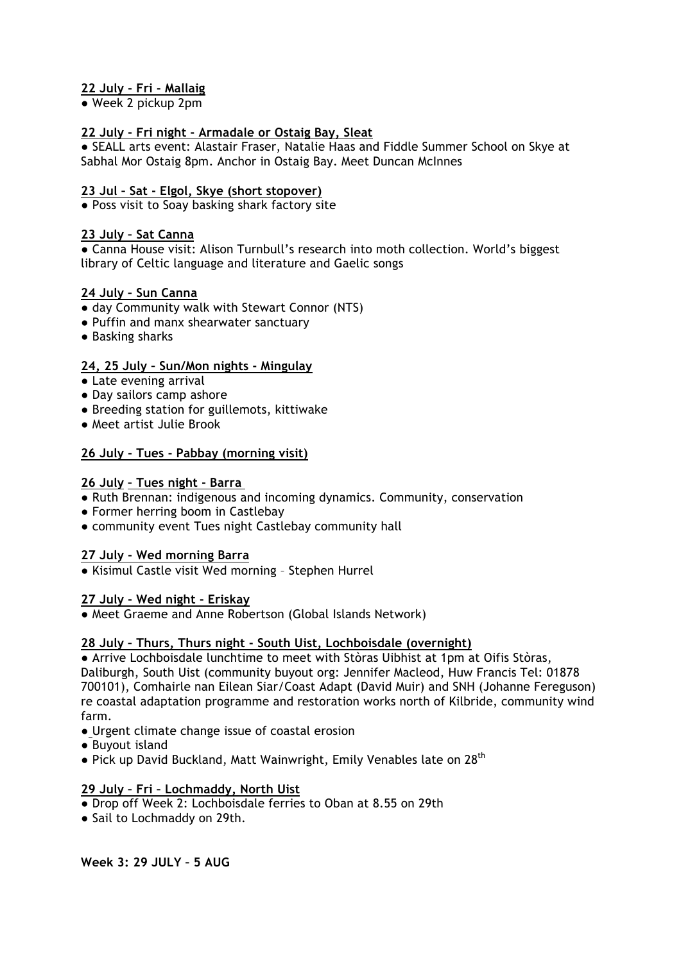# **22 July - Fri - Mallaig**

● Week 2 pickup 2pm

## **22 July - Fri night - Armadale or Ostaig Bay, Sleat**

● SEALL arts event: Alastair Fraser, Natalie Haas and Fiddle Summer School on Skye at Sabhal Mor Ostaig 8pm. Anchor in Ostaig Bay. Meet Duncan McInnes

#### **23 Jul – Sat - Elgol, Skye (short stopover)**

● Poss visit to Soay basking shark factory site

#### **23 July – Sat Canna**

**●** Canna House visit: Alison Turnbull's research into moth collection. World's biggest library of Celtic language and literature and Gaelic songs

#### **24 July – Sun Canna**

- day Community walk with Stewart Connor (NTS)
- **●** Puffin and manx shearwater sanctuary
- **●** Basking sharks

#### **24, 25 July – Sun/Mon nights - Mingulay**

- Late evening arrival
- Day sailors camp ashore
- **●** Breeding station for guillemots, kittiwake
- **●** Meet artist Julie Brook

#### **26 July - Tues - Pabbay (morning visit)**

#### **26 July – Tues night - Barra**

- *●* Ruth Brennan: indigenous and incoming dynamics. Community, conservation
- **●** Former herring boom in Castlebay
- community event Tues night Castlebay community hall

#### **27 July - Wed morning Barra**

● Kisimul Castle visit Wed morning – Stephen Hurrel

#### **27 July - Wed night - Eriskay**

**●** Meet Graeme and Anne Robertson (Global Islands Network)

## **28 July – Thurs, Thurs night - South Uist, Lochboisdale (overnight)**

**●** Arrive Lochboisdale lunchtime to meet with Stòras Uibhist at 1pm at Oifis Stòras, Daliburgh, South Uist (community buyout org: Jennifer Macleod, Huw Francis Tel: 01878 700101), Comhairle nan Eilean Siar/Coast Adapt (David Muir) and SNH (Johanne Fereguson) re coastal adaptation programme and restoration works north of Kilbride, community wind farm.

- Urgent climate change issue of coastal erosion
- **●** Buyout island
- Pick up David Buckland, Matt Wainwright, Emily Venables late on 28<sup>th</sup>

## **29 July – Fri – Lochmaddy, North Uist**

- Drop off Week 2: Lochboisdale ferries to Oban at 8.55 on 29th
- Sail to Lochmaddy on 29th.

**Week 3: 29 JULY – 5 AUG**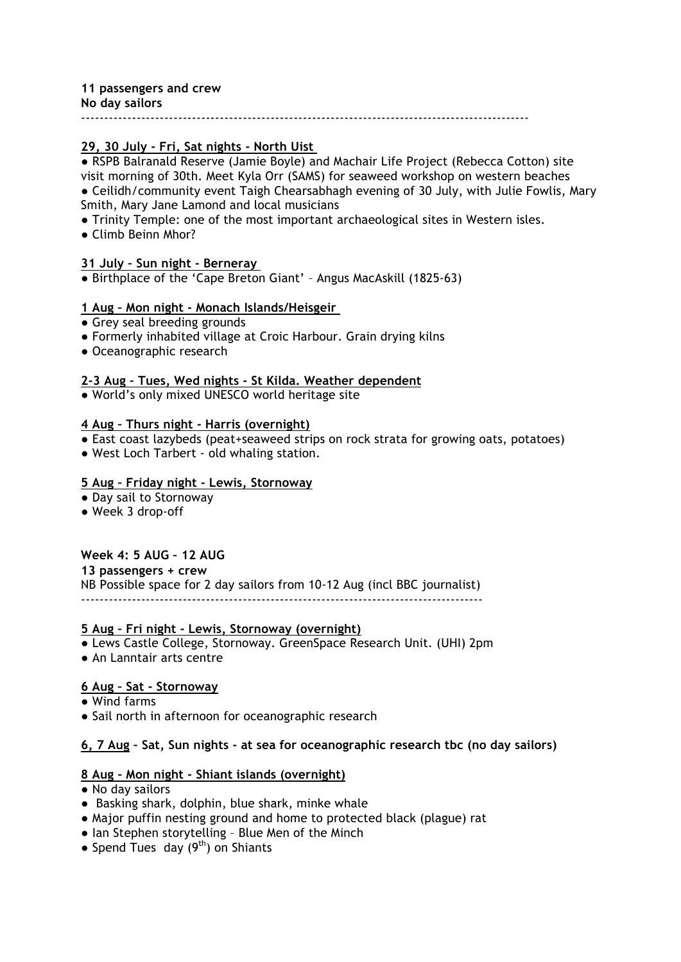# **11 passengers and crew**

**No day sailors**

-------------------------------------------------------------------------------------------------

# **29, 30 July - Fri, Sat nights - North Uist**

● RSPB Balranald Reserve (Jamie Boyle) and Machair Life Project (Rebecca Cotton) site visit morning of 30th. Meet Kyla Orr (SAMS) for seaweed workshop on western beaches ● Ceilidh/community event Taigh Chearsabhagh evening of 30 July, with Julie Fowlis, Mary Smith, Mary Jane Lamond and local musicians

- **●** Trinity Temple: one of the most important archaeological sites in Western isles.
- Climb Beinn Mhor?

## **31 July – Sun night - Berneray**

**●** Birthplace of the 'Cape Breton Giant' – Angus MacAskill (1825-63)

#### **1 Aug – Mon night - Monach Islands/Heisgeir**

- **●** Grey seal breeding grounds
- Formerly inhabited village at Croic Harbour. Grain drying kilns
- **●** Oceanographic research

## **2-3 Aug – Tues, Wed nights - St Kilda. Weather dependent**

**●** World's only mixed UNESCO world heritage site

#### **4 Aug – Thurs night - Harris (overnight)**

- **●** East coast lazybeds (peat+seaweed strips on rock strata for growing oats, potatoes)
- West Loch Tarbert old whaling station.

# **5 Aug – Friday night - Lewis, Stornoway**

- **●** Day sail to Stornoway
- **●** Week 3 drop-off

## **Week 4: 5 AUG – 12 AUG**

**13 passengers + crew**

NB Possible space for 2 day sailors from 10-12 Aug (incl BBC journalist) ---------------------------------------------------------------------------------------

#### **5 Aug – Fri night - Lewis, Stornoway (overnight)**

- Lews Castle College, Stornoway. GreenSpace Research Unit. (UHI) 2pm
- An Lanntair arts centre

## **6 Aug – Sat - Stornoway**

- **●** Wind farms
- **●** Sail north in afternoon for oceanographic research

## **6, 7 Aug – Sat, Sun nights - at sea for oceanographic research tbc (no day sailors)**

## **8 Aug - Mon night - Shiant islands (overnight)**

- **●** No day sailors
- **●** Basking shark, dolphin, blue shark, minke whale
- **●** Major puffin nesting ground and home to protected black (plague) rat
- **●** Ian Stephen storytelling Blue Men of the Minch
- Spend Tues day (9<sup>th</sup>) on Shiants